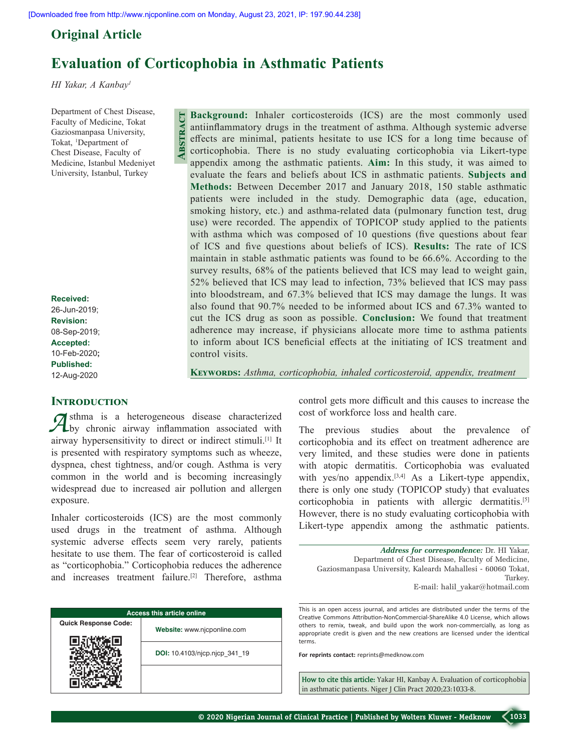# **Original Article**

# **Evaluation of Corticophobia in Asthmatic Patients**

*HI Yakar, A Kanbay1*

Department of Chest Disease, Faculty of Medicine, Tokat Gaziosmanpasa University, Tokat, <sup>1</sup>Department of Chest Disease, Faculty of Medicine, Istanbul Medeniyet University, Istanbul, Turkey

**Received:** 26-Jun-2019; **Revision:** 08-Sep-2019; **Accepted:** 10-Feb-2020**; Published:** 12-Aug-2020

**Background:** Inhaler corticosteroids (ICS) are the most commonly used antiinflammatory drugs in the treatment of asthma. Although systemic adverse effects are minimal, patients hesitate to use ICS for a long time because of corticophobia. There is no study evaluating corticophobia via Likert-type appendix among the asthmatic patients. **Aim:** In this study, it was aimed to evaluate the fears and beliefs about ICS in asthmatic patients. **Subjects and Methods:** Between December 2017 and January 2018, 150 stable asthmatic patients were included in the study. Demographic data (age, education, smoking history, etc.) and asthma-related data (pulmonary function test, drug use) were recorded. The appendix of TOPICOP study applied to the patients with asthma which was composed of 10 questions (five questions about fear of ICS and five questions about beliefs of ICS). **Results:** The rate of ICS maintain in stable asthmatic patients was found to be 66.6%. According to the survey results, 68% of the patients believed that ICS may lead to weight gain, 52% believed that ICS may lead to infection, 73% believed that ICS may pass into bloodstream, and 67.3% believed that ICS may damage the lungs. It was also found that 90.7% needed to be informed about ICS and 67.3% wanted to cut the ICS drug as soon as possible. **Conclusion:** We found that treatment adherence may increase, if physicians allocate more time to asthma patients to inform about ICS beneficial effects at the initiating of ICS treatment and control visits. **Abstract**

**Keywords:** *Asthma, corticophobia, inhaled corticosteroid, appendix, treatment*

# **INTRODUCTION**

**A**sthma is a heterogeneous disease characterized by chronic airway inflammation associated with airway hypersensitivity to direct or indirect stimuli.[1] It is presented with respiratory symptoms such as wheeze, dyspnea, chest tightness, and/or cough. Asthma is very common in the world and is becoming increasingly widespread due to increased air pollution and allergen exposure.

Inhaler corticosteroids (ICS) are the most commonly used drugs in the treatment of asthma. Although systemic adverse effects seem very rarely, patients hesitate to use them. The fear of corticosteroid is called as "corticophobia." Corticophobia reduces the adherence and increases treatment failure.<sup>[2]</sup> Therefore, asthma

| <b>Access this article online</b> |                               |  |
|-----------------------------------|-------------------------------|--|
| <b>Quick Response Code:</b>       | Website: www.njcponline.com   |  |
|                                   | DOI: 10.4103/njcp.njcp 341 19 |  |
|                                   |                               |  |

control gets more difficult and this causes to increase the cost of workforce loss and health care.

The previous studies about the prevalence of corticophobia and its effect on treatment adherence are very limited, and these studies were done in patients with atopic dermatitis. Corticophobia was evaluated with yes/no appendix.<sup>[3,4]</sup> As a Likert-type appendix, there is only one study (TOPICOP study) that evaluates corticophobia in patients with allergic dermatitis.<sup>[5]</sup> However, there is no study evaluating corticophobia with Likert-type appendix among the asthmatic patients.

*Address for correspondence:* Dr. HI Yakar, Department of Chest Disease, Faculty of Medicine, Gaziosmanpasa University, Kaleardı Mahallesi ‑ 60060 Tokat, Turkey. E‑mail: halil\_yakar@hotmail.com

This is an open access journal, and articles are distributed under the terms of the Creative Commons Attribution‑NonCommercial‑ShareAlike 4.0 License, which allows others to remix, tweak, and build upon the work non‑commercially, as long as appropriate credit is given and the new creations are licensed under the identical terms.

**For reprints contact:** reprints@medknow.com

**How to cite this article:** Yakar HI, Kanbay A. Evaluation of corticophobia in asthmatic patients. Niger J Clin Pract 2020;23:1033-8.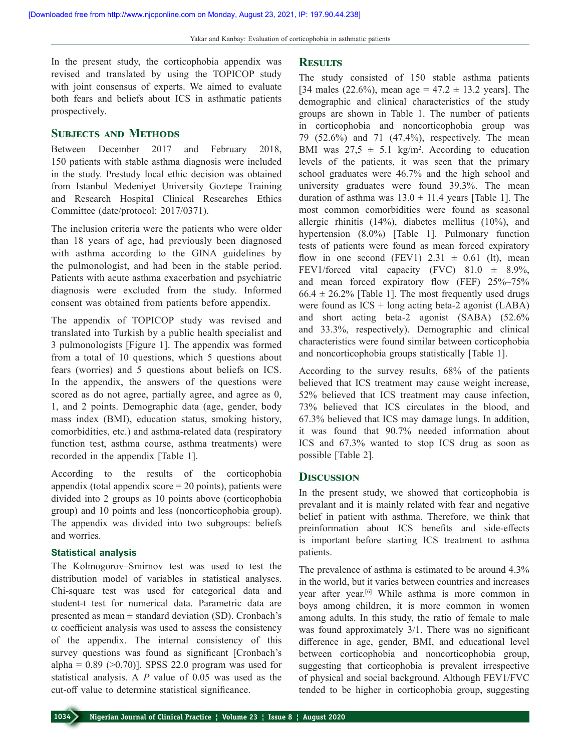In the present study, the corticophobia appendix was revised and translated by using the TOPICOP study with joint consensus of experts. We aimed to evaluate both fears and beliefs about ICS in asthmatic patients prospectively.

# **SUBJECTS AND METHODS**

Between December 2017 and February 2018, 150 patients with stable asthma diagnosis were included in the study. Prestudy local ethic decision was obtained from Istanbul Medeniyet University Goztepe Training and Research Hospital Clinical Researches Ethics Committee (date/protocol: 2017/0371).

The inclusion criteria were the patients who were older than 18 years of age, had previously been diagnosed with asthma according to the GINA guidelines by the pulmonologist, and had been in the stable period. Patients with acute asthma exacerbation and psychiatric diagnosis were excluded from the study. Informed consent was obtained from patients before appendix.

The appendix of TOPICOP study was revised and translated into Turkish by a public health specialist and 3 pulmonologists [Figure 1]. The appendix was formed from a total of 10 questions, which 5 questions about fears (worries) and 5 questions about beliefs on ICS. In the appendix, the answers of the questions were scored as do not agree, partially agree, and agree as 0, 1, and 2 points. Demographic data (age, gender, body mass index (BMI), education status, smoking history, comorbidities, etc.) and asthma-related data (respiratory function test, asthma course, asthma treatments) were recorded in the appendix [Table 1].

According to the results of the corticophobia appendix (total appendix score  $= 20$  points), patients were divided into 2 groups as 10 points above (corticophobia group) and 10 points and less (noncorticophobia group). The appendix was divided into two subgroups: beliefs and worries.

#### **Statistical analysis**

The Kolmogorov–Smirnov test was used to test the distribution model of variables in statistical analyses. Chi-square test was used for categorical data and student‑t test for numerical data. Parametric data are presented as mean  $\pm$  standard deviation (SD). Cronbach's  $\alpha$  coefficient analysis was used to assess the consistency of the appendix. The internal consistency of this survey questions was found as significant [Cronbach's alpha =  $0.89$  ( $>0.70$ )]. SPSS 22.0 program was used for statistical analysis. A *P* value of 0.05 was used as the cut‑off value to determine statistical significance.

# **Results**

The study consisted of 150 stable asthma patients [34 males (22.6%), mean age =  $47.2 \pm 13.2$  years]. The demographic and clinical characteristics of the study groups are shown in Table 1. The number of patients in corticophobia and noncorticophobia group was 79 (52.6%) and 71 (47.4%), respectively. The mean BMI was  $27.5 \pm 5.1$  kg/m<sup>2</sup>. According to education levels of the patients, it was seen that the primary school graduates were 46.7% and the high school and university graduates were found 39.3%. The mean duration of asthma was  $13.0 \pm 11.4$  years [Table 1]. The most common comorbidities were found as seasonal allergic rhinitis (14%), diabetes mellitus (10%), and hypertension (8.0%) [Table 1]. Pulmonary function tests of patients were found as mean forced expiratory flow in one second (FEV1)  $2.31 \pm 0.61$  (lt), mean FEV1/forced vital capacity (FVC)  $81.0 \pm 8.9\%$ , and mean forced expiratory flow (FEF) 25%–75%  $66.4 \pm 26.2\%$  [Table 1]. The most frequently used drugs were found as  $ICS + long$  acting beta-2 agonist (LABA) and short acting beta-2 agonist (SABA) (52.6% and 33.3%, respectively). Demographic and clinical characteristics were found similar between corticophobia and noncorticophobia groups statistically [Table 1].

According to the survey results, 68% of the patients believed that ICS treatment may cause weight increase, 52% believed that ICS treatment may cause infection, 73% believed that ICS circulates in the blood, and 67.3% believed that ICS may damage lungs. In addition, it was found that 90.7% needed information about ICS and 67.3% wanted to stop ICS drug as soon as possible [Table 2].

#### **Discussion**

In the present study, we showed that corticophobia is prevalant and it is mainly related with fear and negative belief in patient with asthma. Therefore, we think that preinformation about ICS benefits and side-effects is important before starting ICS treatment to asthma patients.

The prevalence of asthma is estimated to be around 4.3% in the world, but it varies between countries and increases year after year.[6] While asthma is more common in boys among children, it is more common in women among adults. In this study, the ratio of female to male was found approximately 3/1. There was no significant difference in age, gender, BMI, and educational level between corticophobia and noncorticophobia group, suggesting that corticophobia is prevalent irrespective of physical and social background. Although FEV1/FVC tended to be higher in corticophobia group, suggesting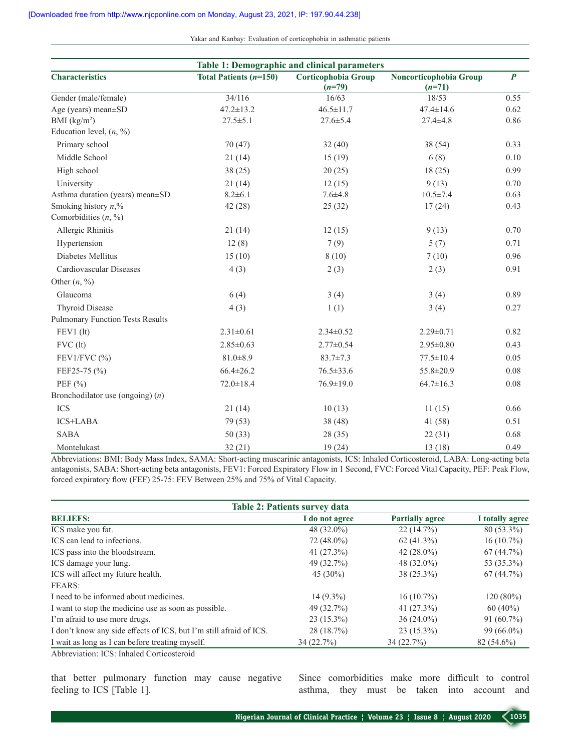Yakar and Kanbay: Evaluation of corticophobia in asthmatic patients

| <b>Table 1: Demographic and clinical parameters</b> |                                            |                                 |                                    |                  |
|-----------------------------------------------------|--------------------------------------------|---------------------------------|------------------------------------|------------------|
| <b>Characteristics</b>                              | <b>Total Patients <math>(n=150)</math></b> | Corticophobia Group<br>$(n=79)$ | Noncorticophobia Group<br>$(n=71)$ | $\boldsymbol{P}$ |
| Gender (male/female)                                | 34/116                                     | 16/63                           | 18/53                              | 0.55             |
| Age (years) mean±SD                                 | $47.2 \pm 13.2$                            | $46.5 \pm 11.7$                 | $47.4 \pm 14.6$                    | 0.62             |
| BMI $(kg/m2)$                                       | $27.5 \pm 5.1$                             | $27.6 \pm 5.4$                  | $27.4 \pm 4.8$                     | 0.86             |
| Education level, $(n, %)$                           |                                            |                                 |                                    |                  |
| Primary school                                      | 70(47)                                     | 32(40)                          | 38 (54)                            | 0.33             |
| Middle School                                       | 21(14)                                     | 15(19)                          | 6(8)                               | 0.10             |
| High school                                         | 38(25)                                     | 20(25)                          | 18(25)                             | 0.99             |
| University                                          | 21(14)                                     | 12(15)                          | 9(13)                              | 0.70             |
| Asthma duration (years) mean±SD                     | $8.2 \pm 6.1$                              | $7.6 + 4.8$                     | $10.5 \pm 7.4$                     | 0.63             |
| Smoking history $n$ <sup>%</sup>                    | 42 (28)                                    | 25(32)                          | 17(24)                             | 0.43             |
| Comorbidities $(n, \frac{9}{0})$                    |                                            |                                 |                                    |                  |
| Allergic Rhinitis                                   | 21(14)                                     | 12(15)                          | 9(13)                              | 0.70             |
| Hypertension                                        | 12(8)                                      | 7(9)                            | 5(7)                               | 0.71             |
| Diabetes Mellitus                                   | 15(10)                                     | 8(10)                           | 7(10)                              | 0.96             |
| Cardiovascular Diseases                             | 4(3)                                       | 2(3)                            | 2(3)                               | 0.91             |
| Other $(n, \frac{9}{0})$                            |                                            |                                 |                                    |                  |
| Glaucoma                                            | 6(4)                                       | 3(4)                            | 3(4)                               | 0.89             |
| <b>Thyroid Disease</b>                              | 4(3)                                       | 1(1)                            | 3(4)                               | 0.27             |
| <b>Pulmonary Function Tests Results</b>             |                                            |                                 |                                    |                  |
| FEV1 (lt)                                           | $2.31 \pm 0.61$                            | $2.34 \pm 0.52$                 | $2.29 \pm 0.71$                    | 0.82             |
| $FVC$ (lt)                                          | $2.85 \pm 0.63$                            | $2.77 \pm 0.54$                 | $2.95 \pm 0.80$                    | 0.43             |
| FEV1/FVC (%)                                        | $81.0 \pm 8.9$                             | $83.7 \pm 7.3$                  | $77.5 \pm 10.4$                    | 0.05             |
| FEF25-75 (%)                                        | $66.4 \pm 26.2$                            | $76.5 \pm 33.6$                 | 55.8±20.9                          | 0.08             |
| PEF $(\% )$                                         | $72.0 \pm 18.4$                            | $76.9 \pm 19.0$                 | $64.7 \pm 16.3$                    | 0.08             |
| Bronchodilator use (ongoing) $(n)$                  |                                            |                                 |                                    |                  |
| <b>ICS</b>                                          | 21(14)                                     | 10(13)                          | 11(15)                             | 0.66             |
| ICS+LABA                                            | 79 (53)                                    | 38(48)                          | 41 (58)                            | 0.51             |
| <b>SABA</b>                                         | 50(33)                                     | 28(35)                          | 22(31)                             | 0.68             |
| Montelukast                                         | 32(21)                                     | 19(24)                          | 13(18)                             | 0.49             |

Abbreviations: BMI: Body Mass Index, SAMA: Short‑acting muscarinic antagonists, ICS: Inhaled Corticosteroid, LABA: Long‑acting beta antagonists, SABA: Short-acting beta antagonists, FEV1: Forced Expiratory Flow in 1 Second, FVC: Forced Vital Capacity, PEF: Peak Flow, forced expiratory flow (FEF) 25‑75: FEV Between 25% and 75% of Vital Capacity.

| Table 2: Patients survey data                                      |                |                        |                 |
|--------------------------------------------------------------------|----------------|------------------------|-----------------|
| <b>BELIEFS:</b>                                                    | I do not agree | <b>Partially agree</b> | I totally agree |
| ICS make you fat.                                                  | 48 (32.0%)     | 22(14.7%)              | 80 (53.3%)      |
| ICS can lead to infections.                                        | 72 (48.0%)     | $62(41.3\%)$           | $16(10.7\%)$    |
| ICS pass into the bloodstream.                                     | 41 $(27.3\%)$  | 42 $(28.0\%)$          | 67(44.7%)       |
| ICS damage your lung.                                              | 49 (32.7%)     | 48 $(32.0\%)$          | 53 (35.3%)      |
| ICS will affect my future health.                                  | 45 $(30\%)$    | $38(25.3\%)$           | 67(44.7%)       |
| FEARS:                                                             |                |                        |                 |
| I need to be informed about medicines.                             | $14(9.3\%)$    | $16(10.7\%)$           | $120(80\%)$     |
| I want to stop the medicine use as soon as possible.               | 49 (32.7%)     | 41 $(27.3\%)$          | $60(40\%)$      |
| I'm afraid to use more drugs.                                      | $23(15.3\%)$   | $36(24.0\%)$           | $91(60.7\%)$    |
| I don't know any side effects of ICS, but I'm still afraid of ICS. | 28(18.7%)      | $23(15.3\%)$           | $99(66.0\%)$    |
| I wait as long as I can before treating myself.                    | 34(22.7%)      | 34(22.7%)              | $82(54.6\%)$    |
| Abbreviation, ICS, Inholad Continuational                          |                |                        |                 |

Abbreviation: ICS: Inhaled Corticosteroid

that better pulmonary function may cause negative feeling to ICS [Table 1].

Since comorbidities make more difficult to control asthma, they must be taken into account and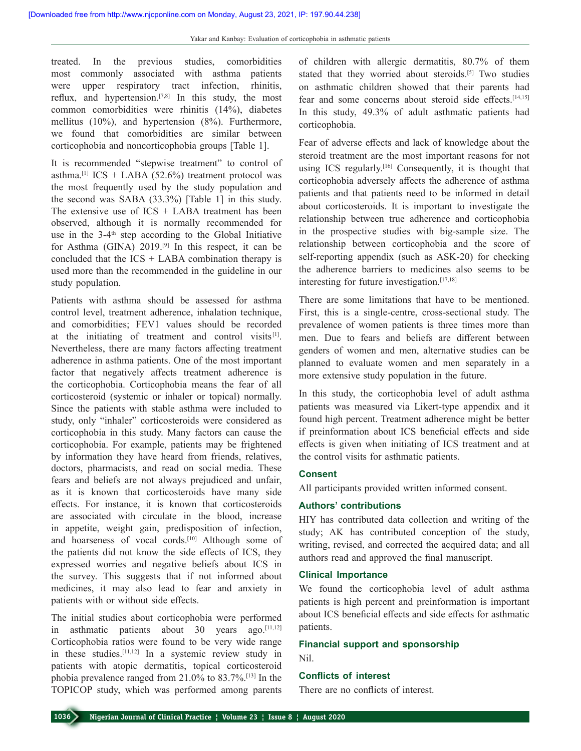treated. In the previous studies, comorbidities most commonly associated with asthma patients were upper respiratory tract infection, rhinitis, reflux, and hypertension.<sup>[7,8]</sup> In this study, the most common comorbidities were rhinitis (14%), diabetes mellitus (10%), and hypertension (8%). Furthermore, we found that comorbidities are similar between corticophobia and noncorticophobia groups [Table 1].

It is recommended "stepwise treatment" to control of asthma.<sup>[1]</sup> ICS + LABA (52.6%) treatment protocol was the most frequently used by the study population and the second was SABA (33.3%) [Table 1] in this study. The extensive use of  $ICS + LABA$  treatment has been observed, although it is normally recommended for use in the  $3-4$ <sup>th</sup> step according to the Global Initiative for Asthma (GINA)  $2019$ <sup>[9]</sup> In this respect, it can be concluded that the  $ICS + LABA$  combination therapy is used more than the recommended in the guideline in our study population.

Patients with asthma should be assessed for asthma control level, treatment adherence, inhalation technique, and comorbidities; FEV1 values should be recorded at the initiating of treatment and control visits $[1]$ . Nevertheless, there are many factors affecting treatment adherence in asthma patients. One of the most important factor that negatively affects treatment adherence is the corticophobia. Corticophobia means the fear of all corticosteroid (systemic or inhaler or topical) normally. Since the patients with stable asthma were included to study, only "inhaler" corticosteroids were considered as corticophobia in this study. Many factors can cause the corticophobia. For example, patients may be frightened by information they have heard from friends, relatives, doctors, pharmacists, and read on social media. These fears and beliefs are not always prejudiced and unfair, as it is known that corticosteroids have many side effects. For instance, it is known that corticosteroids are associated with circulate in the blood, increase in appetite, weight gain, predisposition of infection, and hoarseness of vocal cords.<sup>[10]</sup> Although some of the patients did not know the side effects of ICS, they expressed worries and negative beliefs about ICS in the survey. This suggests that if not informed about medicines, it may also lead to fear and anxiety in patients with or without side effects.

The initial studies about corticophobia were performed in asthmatic patients about 30 years ago.[11,12] Corticophobia ratios were found to be very wide range in these studies.[11,12] In a systemic review study in patients with atopic dermatitis, topical corticosteroid phobia prevalence ranged from 21.0% to 83.7%.[13] In the TOPICOP study, which was performed among parents

of children with allergic dermatitis, 80.7% of them stated that they worried about steroids.[5] Two studies on asthmatic children showed that their parents had fear and some concerns about steroid side effects.<sup>[14,15]</sup> In this study, 49.3% of adult asthmatic patients had corticophobia.

Fear of adverse effects and lack of knowledge about the steroid treatment are the most important reasons for not using ICS regularly.[16] Consequently, it is thought that corticophobia adversely affects the adherence of asthma patients and that patients need to be informed in detail about corticosteroids. It is important to investigate the relationship between true adherence and corticophobia in the prospective studies with big-sample size. The relationship between corticophobia and the score of self-reporting appendix (such as ASK-20) for checking the adherence barriers to medicines also seems to be interesting for future investigation.[17,18]

There are some limitations that have to be mentioned. First, this is a single-centre, cross-sectional study. The prevalence of women patients is three times more than men. Due to fears and beliefs are different between genders of women and men, alternative studies can be planned to evaluate women and men separately in a more extensive study population in the future.

In this study, the corticophobia level of adult asthma patients was measured via Likert-type appendix and it found high percent. Treatment adherence might be better if preinformation about ICS beneficial effects and side effects is given when initiating of ICS treatment and at the control visits for asthmatic patients.

# **Consent**

All participants provided written informed consent.

#### **Authors' contributions**

HIY has contributed data collection and writing of the study; AK has contributed conception of the study, writing, revised, and corrected the acquired data; and all authors read and approved the final manuscript.

#### **Clinical  Importance**

We found the corticophobia level of adult asthma patients is high percent and preinformation is important about ICS beneficial effects and side effects for asthmatic patients.

# **Financial support and sponsorship**

Nil.

# **Conflicts of  interest**

There are no conflicts of interest.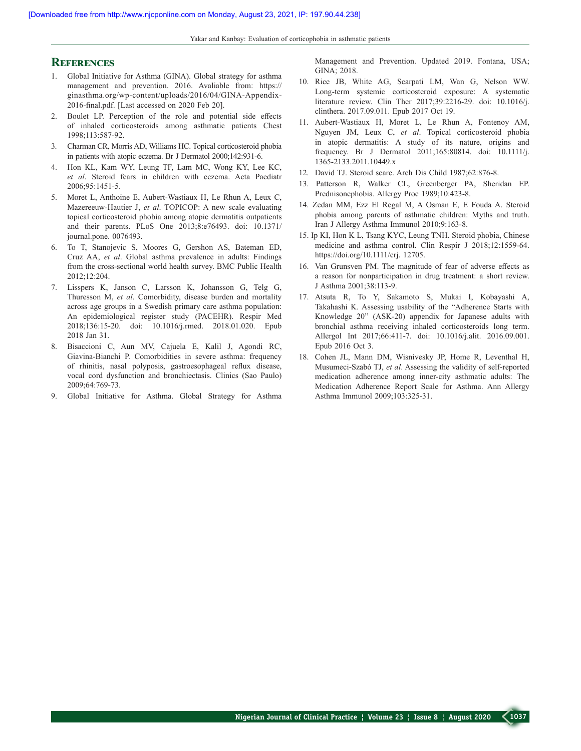Yakar and Kanbay: Evaluation of corticophobia in asthmatic patients

### **References**

- 1. Global Initiative for Asthma (GINA). Global strategy for asthma management and prevention. 2016. Avaliable from: https:// ginasthma.org/wp-content/uploads/2016/04/GINA-Appendix-2016-final.pdf. [Last accessed on 2020 Feb 20].
- 2. Boulet LP. Perception of the role and potential side effects of inhaled corticosteroids among asthmatic patients Chest 1998;113:587‑92.
- 3. Charman CR, Morris AD, Williams HC. Topical corticosteroid phobia in patients with atopic eczema. Br J Dermatol 2000;142:931-6.
- 4. Hon KL, Kam WY, Leung TF, Lam MC, Wong KY, Lee KC, *et al*. Steroid fears in children with eczema. Acta Paediatr 2006;95:1451‑5.
- 5. Moret L, Anthoine E, Aubert-Wastiaux H, Le Rhun A, Leux C, Mazereeuw‑Hautier J, *et al*. TOPICOP: A new scale evaluating topical corticosteroid phobia among atopic dermatitis outpatients and their parents. PLoS One 2013;8:e76493. doi: 10.1371/ journal.pone. 0076493.
- 6. To T, Stanojevic S, Moores G, Gershon AS, Bateman ED, Cruz AA, *et al*. Global asthma prevalence in adults: Findings from the cross‑sectional world health survey. BMC Public Health 2012;12:204.
- 7. Lisspers K, Janson C, Larsson K, Johansson G, Telg G, Thuresson M, *et al*. Comorbidity, disease burden and mortality across age groups in a Swedish primary care asthma population: An epidemiological register study (PACEHR). Respir Med 2018;136:15‑20. doi: 10.1016/j.rmed. 2018.01.020. Epub 2018 Jan 31.
- 8. Bisaccioni C, Aun MV, Cajuela E, Kalil J, Agondi RC, Giavina‑Bianchi P. Comorbidities in severe asthma: frequency of rhinitis, nasal polyposis, gastroesophageal reflux disease, vocal cord dysfunction and bronchiectasis. Clinics (Sao Paulo) 2009;64:769‑73.
- 9. Global Initiative for Asthma. Global Strategy for Asthma

Management and Prevention. Updated 2019. Fontana, USA; GINA; 2018.

- 10. Rice JB, White AG, Scarpati LM, Wan G, Nelson WW. Long‑term systemic corticosteroid exposure: A systematic literature review. Clin Ther 2017;39:2216‑29. doi: 10.1016/j. clinthera. 2017.09.011. Epub 2017 Oct 19.
- 11. Aubert‑Wastiaux H, Moret L, Le Rhun A, Fontenoy AM, Nguyen JM, Leux C, *et al*. Topical corticosteroid phobia in atopic dermatitis: A study of its nature, origins and frequency. Br J Dermatol 2011;165:80814. doi: 10.1111/j. 1365‑2133.2011.10449.x
- 12. David TJ. Steroid scare. Arch Dis Child 1987;62:876‑8.
- 13. Patterson R, Walker CL, Greenberger PA, Sheridan EP. Prednisonephobia. Allergy Proc 1989;10:423‑8.
- 14. Zedan MM, Ezz El Regal M, A Osman E, E Fouda A. Steroid phobia among parents of asthmatic children: Myths and truth. Iran J Allergy Asthma Immunol 2010;9:163‑8.
- 15. Ip KI, Hon K L, Tsang KYC, Leung TNH. Steroid phobia, Chinese medicine and asthma control. Clin Respir J 2018;12:1559-64. https://doi.org/10.1111/crj. 12705.
- 16. Van Grunsven PM. The magnitude of fear of adverse effects as a reason for nonparticipation in drug treatment: a short review. J Asthma 2001;38:113‑9.
- 17. Atsuta R, To Y, Sakamoto S, Mukai I, Kobayashi A, Takahashi K. Assessing usability of the "Adherence Starts with Knowledge 20" (ASK-20) appendix for Japanese adults with bronchial asthma receiving inhaled corticosteroids long term. Allergol Int 2017;66:411‑7. doi: 10.1016/j.alit. 2016.09.001. Epub 2016 Oct 3.
- 18. Cohen JL, Mann DM, Wisnivesky JP, Home R, Leventhal H, Musumeci‑Szabó TJ, *et al*. Assessing the validity of self‑reported medication adherence among inner‑city asthmatic adults: The Medication Adherence Report Scale for Asthma. Ann Allergy Asthma Immunol 2009;103:325‑31.